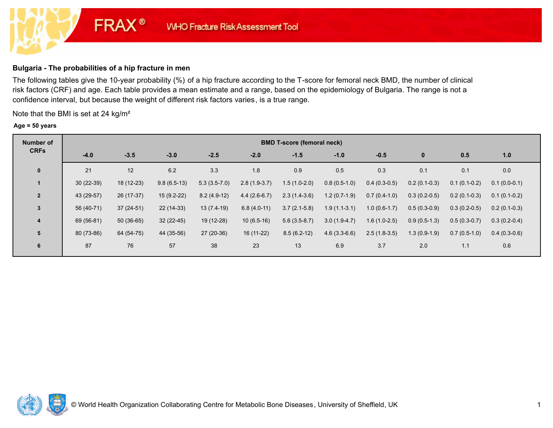# **Bulgaria - The probabilities of a hip fracture in men**

**FRAX®** 

The following tables give the 10-year probability (%) of a hip fracture according to the T-score for femoral neck BMD, the number of clinical risk factors (CRF) and age. Each table provides a mean estimate and a range, based on the epidemiology of Bulgaria. The range is not a confidence interval, but because the weight of different risk factors varies, is a true range.

Note that the BMI is set at 24 kg/m²

#### **Age = 50 years**

| <b>Number of</b> | <b>BMD T-score (femoral neck)</b> |             |               |                |                |                |                |                |                |                |                |  |  |
|------------------|-----------------------------------|-------------|---------------|----------------|----------------|----------------|----------------|----------------|----------------|----------------|----------------|--|--|
| <b>CRFs</b>      | $-4.0$                            | $-3.5$      | $-3.0$        | $-2.5$         | $-2.0$         | $-1.5$         | $-1.0$         | $-0.5$         | $\bf{0}$       | 0.5            | 1.0            |  |  |
| $\mathbf 0$      | 21                                | 12          | 6.2           | 3.3            | 1.8            | 0.9            | 0.5            | 0.3            | 0.1            | 0.1            | 0.0            |  |  |
|                  | $30(22-39)$                       | 18 (12-23)  | $9.8(6.5-13)$ | $5.3(3.5-7.0)$ | $2.8(1.9-3.7)$ | $1.5(1.0-2.0)$ | $0.8(0.5-1.0)$ | $0.4(0.3-0.5)$ | $0.2(0.1-0.3)$ | $0.1(0.1-0.2)$ | $0.1(0.0-0.1)$ |  |  |
| $\overline{2}$   | 43 (29-57)                        | 26 (17-37)  | $15(9.2-22)$  | $8.2(4.9-12)$  | $4.4(2.6-6.7)$ | $2.3(1.4-3.6)$ | $1.2(0.7-1.9)$ | $0.7(0.4-1.0)$ | $0.3(0.2-0.5)$ | $0.2(0.1-0.3)$ | $0.1(0.1-0.2)$ |  |  |
| $\mathbf{3}$     | 56 (40-71)                        | $37(24-51)$ | 22 (14-33)    | $13(7.4-19)$   | $6.8(4.0-11)$  | $3.7(2.1-5.8)$ | $1.9(1.1-3.1)$ | $1.0(0.6-1.7)$ | $0.5(0.3-0.9)$ | $0.3(0.2-0.5)$ | $0.2(0.1-0.3)$ |  |  |
| $\overline{4}$   | 69 (56-81)                        | $50(36-65)$ | $32(22-45)$   | 19 (12-28)     | $10(6.5-16)$   | $5.6(3.5-8.7)$ | $3.0(1.9-4.7)$ | $1.6(1.0-2.5)$ | $0.9(0.5-1.3)$ | $0.5(0.3-0.7)$ | $0.3(0.2-0.4)$ |  |  |
| $5\phantom{1}$   | 80 (73-86)                        | 64 (54-75)  | 44 (35-56)    | 27 (20-36)     | $16(11-22)$    | $8.5(6.2-12)$  | $4.6(3.3-6.6)$ | $2.5(1.8-3.5)$ | $1.3(0.9-1.9)$ | $0.7(0.5-1.0)$ | $0.4(0.3-0.6)$ |  |  |
| 6                | 87                                | 76          | 57            | 38             | 23             | 13             | 6.9            | 3.7            | 2.0            | 1.1            | 0.6            |  |  |

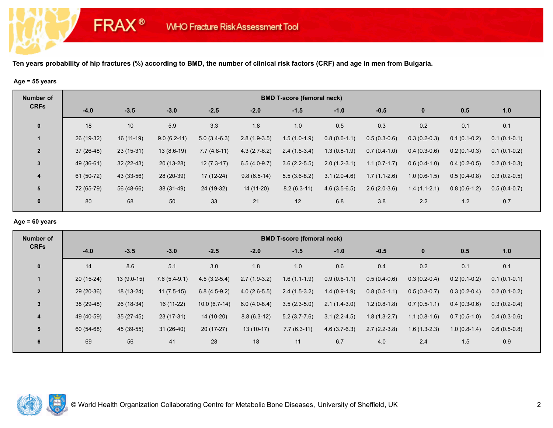## **Age = 55 years**

**FRAX®** 

| <b>Number of</b> | <b>BMD T-score (femoral neck)</b> |             |               |                |                |                |                |                |                |                |                |  |  |
|------------------|-----------------------------------|-------------|---------------|----------------|----------------|----------------|----------------|----------------|----------------|----------------|----------------|--|--|
| <b>CRFs</b>      | $-4.0$                            | $-3.5$      | $-3.0$        | $-2.5$         | $-2.0$         | $-1.5$         | $-1.0$         | $-0.5$         | $\bf{0}$       | 0.5            | 1.0            |  |  |
| $\mathbf 0$      | 18                                | 10          | 5.9           | 3.3            | 1.8            | 1.0            | 0.5            | 0.3            | 0.2            | 0.1            | 0.1            |  |  |
|                  | 26 (19-32)                        | $16(11-19)$ | $9.0(6.2-11)$ | $5.0(3.4-6.3)$ | $2.8(1.9-3.5)$ | $1.5(1.0-1.9)$ | $0.8(0.6-1.1)$ | $0.5(0.3-0.6)$ | $0.3(0.2-0.3)$ | $0.1(0.1-0.2)$ | $0.1(0.1-0.1)$ |  |  |
| $\overline{2}$   | $37(26-48)$                       | $23(15-31)$ | $13(8.6-19)$  | $7.7(4.8-11)$  | $4.3(2.7-6.2)$ | $2.4(1.5-3.4)$ | $1.3(0.8-1.9)$ | $0.7(0.4-1.0)$ | $0.4(0.3-0.6)$ | $0.2(0.1-0.3)$ | $0.1(0.1-0.2)$ |  |  |
| $\mathbf{3}$     | 49 (36-61)                        | $32(22-43)$ | $20(13-28)$   | $12(7.3-17)$   | $6.5(4.0-9.7)$ | $3.6(2.2-5.5)$ | $2.0(1.2-3.1)$ | $1.1(0.7-1.7)$ | $0.6(0.4-1.0)$ | $0.4(0.2-0.5)$ | $0.2(0.1-0.3)$ |  |  |
| $\overline{4}$   | 61 (50-72)                        | 43 (33-56)  | 28 (20-39)    | $17(12-24)$    | $9.8(6.5-14)$  | $5.5(3.6-8.2)$ | $3.1(2.0-4.6)$ | $1.7(1.1-2.6)$ | $1.0(0.6-1.5)$ | $0.5(0.4-0.8)$ | $0.3(0.2-0.5)$ |  |  |
| 5                | 72 (65-79)                        | 56 (48-66)  | 38 (31-49)    | 24 (19-32)     | 14 (11-20)     | $8.2(6.3-11)$  | $4.6(3.5-6.5)$ | $2.6(2.0-3.6)$ | $1.4(1.1-2.1)$ | $0.8(0.6-1.2)$ | $0.5(0.4-0.7)$ |  |  |
| 6                | 80                                | 68          | 50            | 33             | 21             | 12             | 6.8            | 3.8            | 2.2            | 1.2            | 0.7            |  |  |

#### **Age = 60 years**

| Number of      |             | <b>BMD T-score (femoral neck)</b> |                |                |                |                |                |                |                |                |                |  |  |  |
|----------------|-------------|-----------------------------------|----------------|----------------|----------------|----------------|----------------|----------------|----------------|----------------|----------------|--|--|--|
| <b>CRFs</b>    | $-4.0$      | $-3.5$                            | $-3.0$         | $-2.5$         | $-2.0$         | $-1.5$         | $-1.0$         | $-0.5$         | $\bf{0}$       | 0.5            | 1.0            |  |  |  |
| $\mathbf 0$    | 14          | 8.6                               | 5.1            | 3.0            | 1.8            | 1.0            | 0.6            | 0.4            | 0.2            | 0.1            | 0.1            |  |  |  |
|                | $20(15-24)$ | $13(9.0-15)$                      | $7.6(5.4-9.1)$ | $4.5(3.2-5.4)$ | $2.7(1.9-3.2)$ | $1.6(1.1-1.9)$ | $0.9(0.6-1.1)$ | $0.5(0.4-0.6)$ | $0.3(0.2-0.4)$ | $0.2(0.1-0.2)$ | $0.1(0.1-0.1)$ |  |  |  |
| $\overline{2}$ | $29(20-36)$ | 18 (13-24)                        | $11(7.5-15)$   | $6.8(4.5-9.2)$ | $4.0(2.6-5.5)$ | $2.4(1.5-3.2)$ | $1.4(0.9-1.9)$ | $0.8(0.5-1.1)$ | $0.5(0.3-0.7)$ | $0.3(0.2-0.4)$ | $0.2(0.1-0.2)$ |  |  |  |
| 3              | 38 (29-48)  | 26 (18-34)                        | $16(11-22)$    | $10.0(6.7-14)$ | $6.0(4.0-8.4)$ | $3.5(2.3-5.0)$ | $2.1(1.4-3.0)$ | $1.2(0.8-1.8)$ | $0.7(0.5-1.1)$ | $0.4(0.3-0.6)$ | $0.3(0.2-0.4)$ |  |  |  |
| 4              | 49 (40-59)  | $35(27-45)$                       | 23 (17-31)     | 14 (10-20)     | $8.8(6.3-12)$  | $5.2(3.7-7.6)$ | $3.1(2.2-4.5)$ | $1.8(1.3-2.7)$ | $1.1(0.8-1.6)$ | $0.7(0.5-1.0)$ | $0.4(0.3-0.6)$ |  |  |  |
| 5              | 60 (54-68)  | 45 (39-55)                        | $31(26-40)$    | $20(17-27)$    | $13(10-17)$    | $7.7(6.3-11)$  | $4.6(3.7-6.3)$ | $2.7(2.2-3.8)$ | $1.6(1.3-2.3)$ | $1.0(0.8-1.4)$ | $0.6(0.5-0.8)$ |  |  |  |
| 6              | 69          | 56                                | 41             | 28             | 18             | 11             | 6.7            | 4.0            | 2.4            | 1.5            | 0.9            |  |  |  |

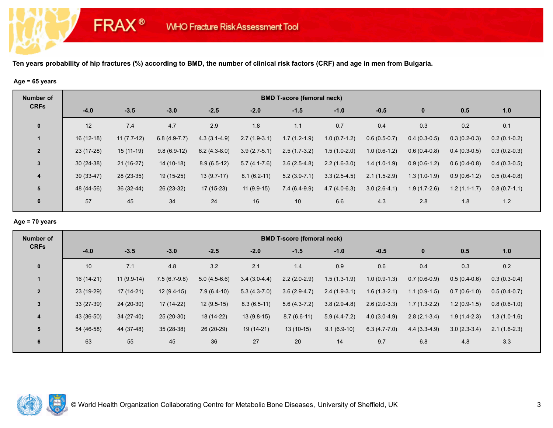#### **Age = 65 years**

**FRAX®** 

| <b>Number of</b> | <b>BMD T-score (femoral neck)</b> |              |                |                |                |                |                |                |                |                |                |  |  |
|------------------|-----------------------------------|--------------|----------------|----------------|----------------|----------------|----------------|----------------|----------------|----------------|----------------|--|--|
| <b>CRFs</b>      | $-4.0$                            | $-3.5$       | $-3.0$         | $-2.5$         | $-2.0$         | $-1.5$         | $-1.0$         | $-0.5$         | $\bf{0}$       | 0.5            | 1.0            |  |  |
| $\mathbf{0}$     | 12                                | 7.4          | 4.7            | 2.9            | 1.8            | 1.1            | 0.7            | 0.4            | 0.3            | 0.2            | 0.1            |  |  |
|                  | $16(12-18)$                       | $11(7.7-12)$ | $6.8(4.9-7.7)$ | $4.3(3.1-4.9)$ | $2.7(1.9-3.1)$ | $1.7(1.2-1.9)$ | $1.0(0.7-1.2)$ | $0.6(0.5-0.7)$ | $0.4(0.3-0.5)$ | $0.3(0.2-0.3)$ | $0.2(0.1-0.2)$ |  |  |
| $\overline{2}$   | 23 (17-28)                        | $15(11-19)$  | $9.8(6.9-12)$  | $6.2(4.3-8.0)$ | $3.9(2.7-5.1)$ | $2.5(1.7-3.2)$ | $1.5(1.0-2.0)$ | $1.0(0.6-1.2)$ | $0.6(0.4-0.8)$ | $0.4(0.3-0.5)$ | $0.3(0.2-0.3)$ |  |  |
| $\mathbf{3}$     | $30(24-38)$                       | $21(16-27)$  | $14(10-18)$    | $8.9(6.5-12)$  | $5.7(4.1-7.6)$ | $3.6(2.5-4.8)$ | $2.2(1.6-3.0)$ | $1.4(1.0-1.9)$ | $0.9(0.6-1.2)$ | $0.6(0.4-0.8)$ | $0.4(0.3-0.5)$ |  |  |
| $\overline{4}$   | 39 (33-47)                        | 28 (23-35)   | 19 (15-25)     | $13(9.7-17)$   | $8.1(6.2-11)$  | $5.2(3.9-7.1)$ | $3.3(2.5-4.5)$ | $2.1(1.5-2.9)$ | $1.3(1.0-1.9)$ | $0.9(0.6-1.2)$ | $0.5(0.4-0.8)$ |  |  |
| 5                | 48 (44-56)                        | $36(32-44)$  | $26(23-32)$    | $17(15-23)$    | $11(9.9-15)$   | $7.4(6.4-9.9)$ | $4.7(4.0-6.3)$ | $3.0(2.6-4.1)$ | $1.9(1.7-2.6)$ | $1.2(1.1-1.7)$ | $0.8(0.7-1.1)$ |  |  |
| 6                | 57                                | 45           | 34             | 24             | 16             | 10             | 6.6            | 4.3            | 2.8            | 1.8            | 1.2            |  |  |

# **Age = 70 years**

| Number of      | <b>BMD T-score (femoral neck)</b> |              |                |                |                |                |                |                |                |                |                |  |  |
|----------------|-----------------------------------|--------------|----------------|----------------|----------------|----------------|----------------|----------------|----------------|----------------|----------------|--|--|
| <b>CRFs</b>    | $-4.0$                            | $-3.5$       | $-3.0$         | $-2.5$         | $-2.0$         | $-1.5$         | $-1.0$         | $-0.5$         | $\bf{0}$       | 0.5            | 1.0            |  |  |
| $\mathbf 0$    | 10                                | 7.1          | 4.8            | 3.2            | 2.1            | 1.4            | 0.9            | 0.6            | 0.4            | 0.3            | 0.2            |  |  |
|                | 16 (14-21)                        | $11(9.9-14)$ | $7.5(6.7-9.8)$ | $5.0(4.5-6.6)$ | $3.4(3.0-4.4)$ | $2.2(2.0-2.9)$ | $1.5(1.3-1.9)$ | $1.0(0.9-1.3)$ | $0.7(0.6-0.9)$ | $0.5(0.4-0.6)$ | $0.3(0.3-0.4)$ |  |  |
| $\overline{2}$ | 23 (19-29)                        | $17(14-21)$  | $12(9.4-15)$   | $7.9(6.4-10)$  | $5.3(4.3-7.0)$ | $3.6(2.9-4.7)$ | $2.4(1.9-3.1)$ | $1.6(1.3-2.1)$ | $1.1(0.9-1.5)$ | $0.7(0.6-1.0)$ | $0.5(0.4-0.7)$ |  |  |
| 3              | $33(27-39)$                       | 24 (20-30)   | $17(14-22)$    | $12(9.5-15)$   | $8.3(6.5-11)$  | $5.6(4.3-7.2)$ | $3.8(2.9-4.8)$ | $2.6(2.0-3.3)$ | $1.7(1.3-2.2)$ | $1.2(0.9-1.5)$ | $0.8(0.6-1.0)$ |  |  |
| 4              | 43 (36-50)                        | $34(27-40)$  | $25(20-30)$    | 18 (14-22)     | $13(9.8-15)$   | $8.7(6.6-11)$  | $5.9(4.4-7.2)$ | $4.0(3.0-4.9)$ | $2.8(2.1-3.4)$ | $1.9(1.4-2.3)$ | $1.3(1.0-1.6)$ |  |  |
| 5              | 54 (46-58)                        | 44 (37-48)   | $35(28-38)$    | 26 (20-29)     | 19 (14-21)     | $13(10-15)$    | $9.1(6.9-10)$  | $6.3(4.7-7.0)$ | $4.4(3.3-4.9)$ | $3.0(2.3-3.4)$ | $2.1(1.6-2.3)$ |  |  |
| 6              | 63                                | 55           | 45             | 36             | 27             | 20             | 14             | 9.7            | 6.8            | 4.8            | 3.3            |  |  |

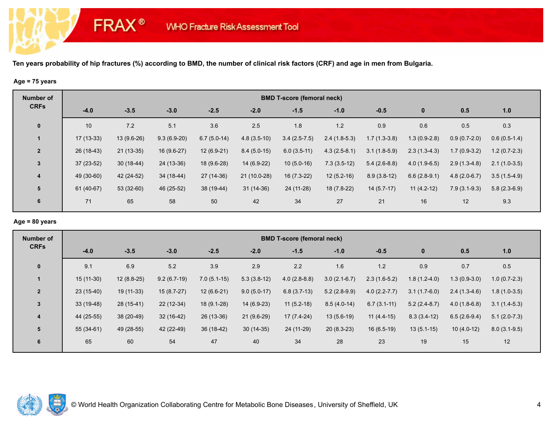# **Age = 75 years**

**FRAX®** 

| <b>Number of</b> | <b>BMD T-score (femoral neck)</b> |             |               |               |               |                |                |                |                |                |                |  |  |
|------------------|-----------------------------------|-------------|---------------|---------------|---------------|----------------|----------------|----------------|----------------|----------------|----------------|--|--|
| <b>CRFs</b>      | $-4.0$                            | $-3.5$      | $-3.0$        | $-2.5$        | $-2.0$        | $-1.5$         | $-1.0$         | $-0.5$         | $\mathbf{0}$   | 0.5            | 1.0            |  |  |
| $\mathbf 0$      | 10 <sup>°</sup>                   | 7.2         | 5.1           | 3.6           | 2.5           | 1.8            | 1.2            | 0.9            | 0.6            | 0.5            | 0.3            |  |  |
|                  | $17(13-33)$                       | 13 (9.6-26) | $9.3(6.9-20)$ | $6.7(5.0-14)$ | $4.8(3.5-10)$ | $3.4(2.5-7.5)$ | $2.4(1.8-5.3)$ | $1.7(1.3-3.8)$ | $1.3(0.9-2.8)$ | $0.9(0.7-2.0)$ | $0.6(0.5-1.4)$ |  |  |
| $\overline{2}$   | $26(18-43)$                       | $21(13-35)$ | $16(9.6-27)$  | $12(6.9-21)$  | $8.4(5.0-15)$ | $6.0(3.5-11)$  | $4.3(2.5-8.1)$ | $3.1(1.8-5.9)$ | $2.3(1.3-4.3)$ | $1.7(0.9-3.2)$ | $1.2(0.7-2.3)$ |  |  |
| $\mathbf{3}$     | $37(23-52)$                       | $30(18-44)$ | 24 (13-36)    | 18 (9.6-28)   | 14 (6.9-22)   | $10(5.0-16)$   | $7.3(3.5-12)$  | $5.4(2.6-8.8)$ | $4.0(1.9-6.5)$ | $2.9(1.3-4.8)$ | $2.1(1.0-3.5)$ |  |  |
| $\overline{4}$   | 49 (30-60)                        | 42 (24-52)  | 34 (18-44)    | 27 (14-36)    | 21 (10.0-28)  | 16 (7.3-22)    | $12(5.2-16)$   | $8.9(3.8-12)$  | $6.6(2.8-9.1)$ | $4.8(2.0-6.7)$ | $3.5(1.5-4.9)$ |  |  |
| 5                | 61 (40-67)                        | 53 (32-60)  | 46 (25-52)    | 38 (19-44)    | $31(14-36)$   | 24 (11-28)     | 18 (7.8-22)    | $14(5.7-17)$   | $11(4.2-12)$   | $7.9(3.1-9.3)$ | $5.8(2.3-6.9)$ |  |  |
| 6                | 71                                | 65          | 58            | 50            | 42            | 34             | 27             | 21             | 16             | 12             | 9.3            |  |  |

# **Age = 80 years**

| Number of      | <b>BMD T-score (femoral neck)</b> |              |               |               |               |                |                |                  |                |                |                |  |  |
|----------------|-----------------------------------|--------------|---------------|---------------|---------------|----------------|----------------|------------------|----------------|----------------|----------------|--|--|
| <b>CRFs</b>    | $-4.0$                            | $-3.5$       | $-3.0$        | $-2.5$        | $-2.0$        | $-1.5$         | $-1.0$         | $-0.5$           | $\bf{0}$       | 0.5            | 1.0            |  |  |
| $\mathbf 0$    | 9.1                               | 6.9          | $5.2\,$       | 3.9           | 2.9           | 2.2            | 1.6            | 1.2              | 0.9            | 0.7            | 0.5            |  |  |
| -1             | $15(11-30)$                       | $12(8.8-25)$ | $9.2(6.7-19)$ | $7.0(5.1-15)$ | $5.3(3.8-12)$ | $4.0(2.8-8.8)$ | $3.0(2.1-6.7)$ | $2.3(1.6-5.2)$   | $1.8(1.2-4.0)$ | $1.3(0.9-3.0)$ | $1.0(0.7-2.3)$ |  |  |
| $\overline{2}$ | 23 (15-40)                        | 19 (11-33)   | $15(8.7-27)$  | $12(6.6-21)$  | $9.0(5.0-17)$ | $6.8(3.7-13)$  | $5.2(2.8-9.9)$ | $4.0(2.2 - 7.7)$ | $3.1(1.7-6.0)$ | $2.4(1.3-4.6)$ | $1.8(1.0-3.5)$ |  |  |
| $\mathbf{3}$   | 33 (19-48)                        | 28 (15-41)   | 22 (12-34)    | 18 (9.1-28)   | 14 (6.9-23)   | $11(5.2-18)$   | $8.5(4.0-14)$  | $6.7(3.1-11)$    | $5.2(2.4-8.7)$ | $4.0(1.8-6.8)$ | $3.1(1.4-5.3)$ |  |  |
| 4              | 44 (25-55)                        | 38 (20-49)   | $32(16-42)$   | 26 (13-36)    | $21(9.6-29)$  | $17(7.4-24)$   | $13(5.6-19)$   | $11(4.4-15)$     | $8.3(3.4-12)$  | $6.5(2.6-9.4)$ | $5.1(2.0-7.3)$ |  |  |
| 5              | 55 (34-61)                        | 49 (28-55)   | 42 (22-49)    | $36(18-42)$   | $30(14-35)$   | 24 (11-29)     | $20(8.3-23)$   | $16(6.5-19)$     | $13(5.1-15)$   | $10(4.0-12)$   | $8.0(3.1-9.5)$ |  |  |
| 6              | 65                                | 60           | 54            | 47            | 40            | 34             | 28             | 23               | 19             | 15             | 12             |  |  |